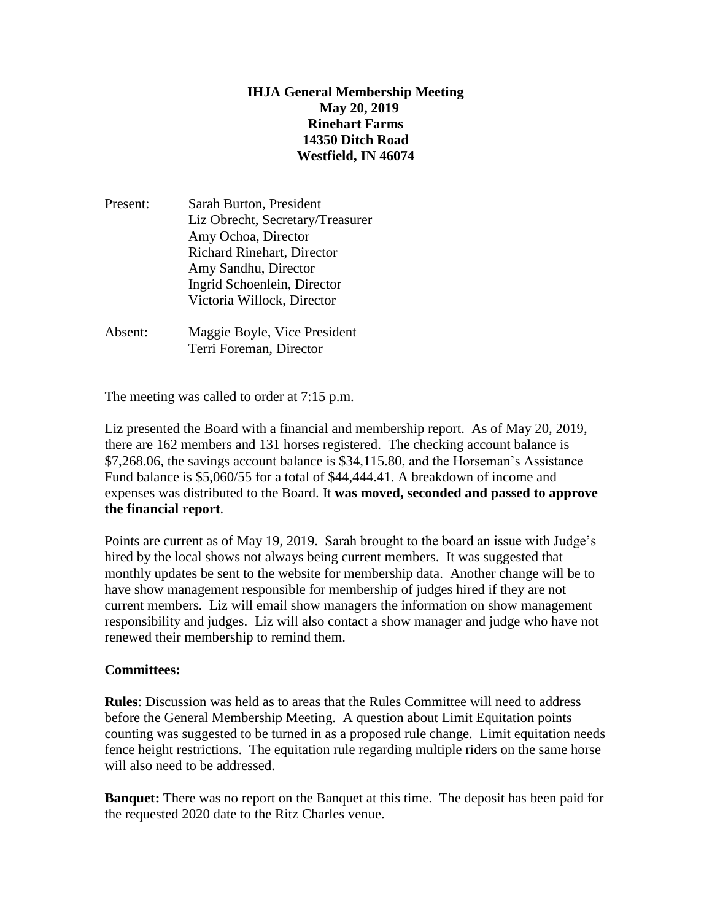## **IHJA General Membership Meeting May 20, 2019 Rinehart Farms 14350 Ditch Road Westfield, IN 46074**

- Present: Sarah Burton, President Liz Obrecht, Secretary/Treasurer Amy Ochoa, Director Richard Rinehart, Director Amy Sandhu, Director Ingrid Schoenlein, Director Victoria Willock, Director
- Absent: Maggie Boyle, Vice President Terri Foreman, Director

The meeting was called to order at 7:15 p.m.

Liz presented the Board with a financial and membership report. As of May 20, 2019, there are 162 members and 131 horses registered. The checking account balance is \$7,268.06, the savings account balance is \$34,115.80, and the Horseman's Assistance Fund balance is \$5,060/55 for a total of \$44,444.41. A breakdown of income and expenses was distributed to the Board. It **was moved, seconded and passed to approve the financial report**.

Points are current as of May 19, 2019. Sarah brought to the board an issue with Judge's hired by the local shows not always being current members. It was suggested that monthly updates be sent to the website for membership data. Another change will be to have show management responsible for membership of judges hired if they are not current members. Liz will email show managers the information on show management responsibility and judges. Liz will also contact a show manager and judge who have not renewed their membership to remind them.

## **Committees:**

**Rules**: Discussion was held as to areas that the Rules Committee will need to address before the General Membership Meeting. A question about Limit Equitation points counting was suggested to be turned in as a proposed rule change. Limit equitation needs fence height restrictions. The equitation rule regarding multiple riders on the same horse will also need to be addressed.

**Banquet:** There was no report on the Banquet at this time. The deposit has been paid for the requested 2020 date to the Ritz Charles venue.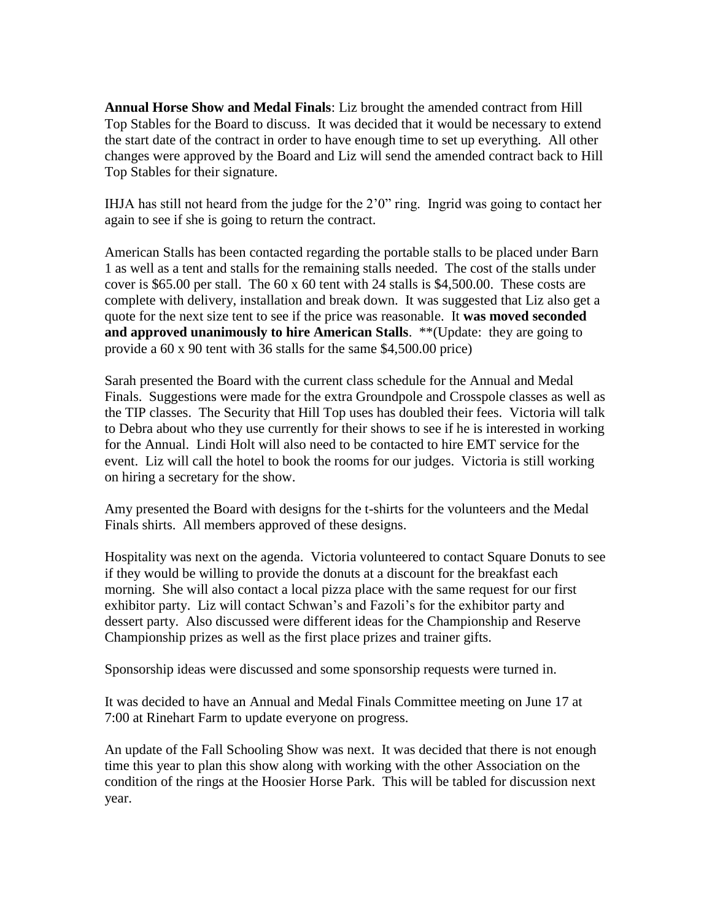**Annual Horse Show and Medal Finals**: Liz brought the amended contract from Hill Top Stables for the Board to discuss. It was decided that it would be necessary to extend the start date of the contract in order to have enough time to set up everything. All other changes were approved by the Board and Liz will send the amended contract back to Hill Top Stables for their signature.

IHJA has still not heard from the judge for the 2'0" ring. Ingrid was going to contact her again to see if she is going to return the contract.

American Stalls has been contacted regarding the portable stalls to be placed under Barn 1 as well as a tent and stalls for the remaining stalls needed. The cost of the stalls under cover is \$65.00 per stall. The 60 x 60 tent with 24 stalls is \$4,500.00. These costs are complete with delivery, installation and break down. It was suggested that Liz also get a quote for the next size tent to see if the price was reasonable. It **was moved seconded and approved unanimously to hire American Stalls**. \*\*(Update: they are going to provide a 60 x 90 tent with 36 stalls for the same \$4,500.00 price)

Sarah presented the Board with the current class schedule for the Annual and Medal Finals. Suggestions were made for the extra Groundpole and Crosspole classes as well as the TIP classes. The Security that Hill Top uses has doubled their fees. Victoria will talk to Debra about who they use currently for their shows to see if he is interested in working for the Annual. Lindi Holt will also need to be contacted to hire EMT service for the event. Liz will call the hotel to book the rooms for our judges. Victoria is still working on hiring a secretary for the show.

Amy presented the Board with designs for the t-shirts for the volunteers and the Medal Finals shirts. All members approved of these designs.

Hospitality was next on the agenda. Victoria volunteered to contact Square Donuts to see if they would be willing to provide the donuts at a discount for the breakfast each morning. She will also contact a local pizza place with the same request for our first exhibitor party. Liz will contact Schwan's and Fazoli's for the exhibitor party and dessert party. Also discussed were different ideas for the Championship and Reserve Championship prizes as well as the first place prizes and trainer gifts.

Sponsorship ideas were discussed and some sponsorship requests were turned in.

It was decided to have an Annual and Medal Finals Committee meeting on June 17 at 7:00 at Rinehart Farm to update everyone on progress.

An update of the Fall Schooling Show was next. It was decided that there is not enough time this year to plan this show along with working with the other Association on the condition of the rings at the Hoosier Horse Park. This will be tabled for discussion next year.